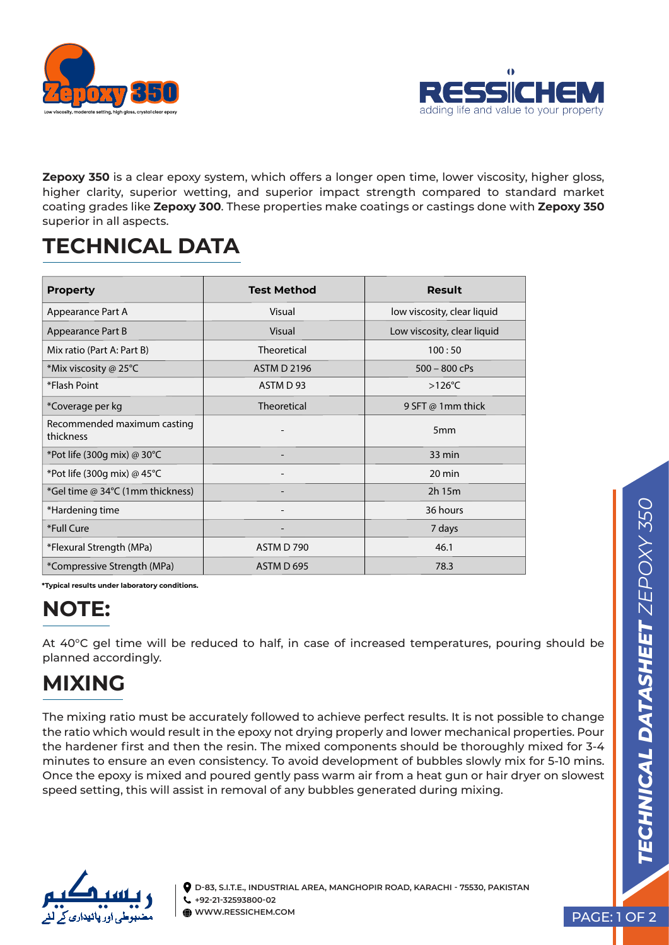



**Zepoxy 350** is a clear epoxy system, which offers a longer open time, lower viscosity, higher gloss, higher clarity, superior wetting, and superior impact strength compared to standard market coating grades like **Zepoxy 300**. These properties make coatings or castings done with **Zepoxy 350**  superior in all aspects.

## **TECHNICAL DATA**

| <b>Property</b>                          | <b>Test Method</b> | Result                      |
|------------------------------------------|--------------------|-----------------------------|
| Appearance Part A                        | Visual             | low viscosity, clear liquid |
| Appearance Part B                        | Visual             | Low viscosity, clear liquid |
| Mix ratio (Part A: Part B)               | <b>Theoretical</b> | 100:50                      |
| *Mix viscosity @ 25°C                    | <b>ASTM D 2196</b> | $500 - 800$ cPs             |
| *Flash Point                             | ASTM D 93          | $>126^{\circ}$ C            |
| *Coverage per kg                         | <b>Theoretical</b> | 9 SFT @ 1mm thick           |
| Recommended maximum casting<br>thickness |                    | 5 <sub>mm</sub>             |
| *Pot life (300g mix) @ 30°C              |                    | 33 min                      |
| *Pot life (300g mix) @ 45°C              |                    | 20 min                      |
| *Gel time @ 34°C (1mm thickness)         |                    | 2h 15m                      |
| *Hardening time                          | -                  | 36 hours                    |
| *Full Cure                               |                    | 7 days                      |
| *Flexural Strength (MPa)                 | ASTM D 790         | 46.1                        |
| *Compressive Strength (MPa)              | ASTM D 695         | 78.3                        |

**\*Typical results under laboratory conditions.** 

### **NOTE:**

At 40°C gel time will be reduced to half, in case of increased temperatures, pouring should be planned accordingly.

# **MIXING**

The mixing ratio must be accurately followed to achieve perfect results. It is not possible to change the ratio which would result in the epoxy not drying properly and lower mechanical properties. Pour the hardener first and then the resin. The mixed components should be thoroughly mixed for 3-4 minutes to ensure an even consistency. To avoid development of bubbles slowly mix for 5-10 mins. Once the epoxy is mixed and poured gently pass warm air from a heat gun or hair dryer on slowest speed setting, this will assist in removal of any bubbles generated during mixing.